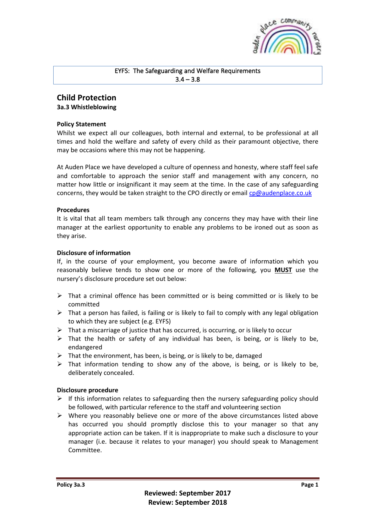

# EYFS: The Safeguarding and Welfare Requirements  $3.4 - 3.8$

## **Child Protection 3a.3 Whistleblowing**

#### **Policy Statement**

Whilst we expect all our colleagues, both internal and external, to be professional at all times and hold the welfare and safety of every child as their paramount objective, there may be occasions where this may not be happening.

At Auden Place we have developed a culture of openness and honesty, where staff feel safe and comfortable to approach the senior staff and management with any concern, no matter how little or insignificant it may seem at the time. In the case of any safeguarding concerns, they would be taken straight to the CPO directly or email<cp@audenplace.co.uk>

## **Procedures**

It is vital that all team members talk through any concerns they may have with their line manager at the earliest opportunity to enable any problems to be ironed out as soon as they arise.

## **Disclosure of information**

If, in the course of your employment, you become aware of information which you reasonably believe tends to show one or more of the following, you **MUST** use the nursery's disclosure procedure set out below:

- $\triangleright$  That a criminal offence has been committed or is being committed or is likely to be committed
- $\triangleright$  That a person has failed, is failing or is likely to fail to comply with any legal obligation to which they are subject (e.g. EYFS)
- $\triangleright$  That a miscarriage of justice that has occurred, is occurring, or is likely to occur
- $\triangleright$  That the health or safety of any individual has been, is being, or is likely to be, endangered
- $\triangleright$  That the environment, has been, is being, or is likely to be, damaged
- $\triangleright$  That information tending to show any of the above, is being, or is likely to be, deliberately concealed.

#### **Disclosure procedure**

- $\triangleright$  If this information relates to safeguarding then the nursery safeguarding policy should be followed, with particular reference to the staff and volunteering section
- $\triangleright$  Where you reasonably believe one or more of the above circumstances listed above has occurred you should promptly disclose this to your manager so that any appropriate action can be taken. If it is inappropriate to make such a disclosure to your manager (i.e. because it relates to your manager) you should speak to Management Committee.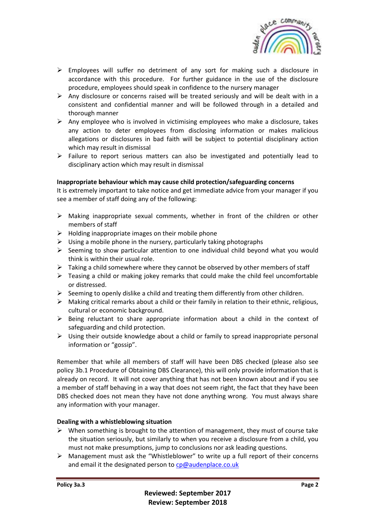

- $\triangleright$  Employees will suffer no detriment of any sort for making such a disclosure in accordance with this procedure. For further guidance in the use of the disclosure procedure, employees should speak in confidence to the nursery manager
- $\triangleright$  Any disclosure or concerns raised will be treated seriously and will be dealt with in a consistent and confidential manner and will be followed through in a detailed and thorough manner
- $\triangleright$  Any employee who is involved in victimising employees who make a disclosure, takes any action to deter employees from disclosing information or makes malicious allegations or disclosures in bad faith will be subject to potential disciplinary action which may result in dismissal
- $\triangleright$  Failure to report serious matters can also be investigated and potentially lead to disciplinary action which may result in dismissal

## **Inappropriate behaviour which may cause child protection/safeguarding concerns**

It is extremely important to take notice and get immediate advice from your manager if you see a member of staff doing any of the following:

- $\triangleright$  Making inappropriate sexual comments, whether in front of the children or other members of staff
- $\triangleright$  Holding inappropriate images on their mobile phone
- $\triangleright$  Using a mobile phone in the nursery, particularly taking photographs
- $\triangleright$  Seeming to show particular attention to one individual child beyond what you would think is within their usual role.
- $\triangleright$  Taking a child somewhere where they cannot be observed by other members of staff
- ➢ Teasing a child or making jokey remarks that could make the child feel uncomfortable or distressed.
- ➢ Seeming to openly dislike a child and treating them differently from other children.
- $\triangleright$  Making critical remarks about a child or their family in relation to their ethnic, religious, cultural or economic background.
- $\triangleright$  Being reluctant to share appropriate information about a child in the context of safeguarding and child protection.
- $\triangleright$  Using their outside knowledge about a child or family to spread inappropriate personal information or "gossip".

Remember that while all members of staff will have been DBS checked (please also see policy 3b.1 Procedure of Obtaining DBS Clearance), this will only provide information that is already on record. It will not cover anything that has not been known about and if you see a member of staff behaving in a way that does not seem right, the fact that they have been DBS checked does not mean they have not done anything wrong. You must always share any information with your manager.

#### **Dealing with a whistleblowing situation**

- $\triangleright$  When something is brought to the attention of management, they must of course take the situation seriously, but similarly to when you receive a disclosure from a child, you must not make presumptions, jump to conclusions nor ask leading questions.
- $\triangleright$  Management must ask the "Whistleblower" to write up a full report of their concerns and email it the designated person to [cp@audenplace.co.uk](cp@audenplace.co.uk%20)